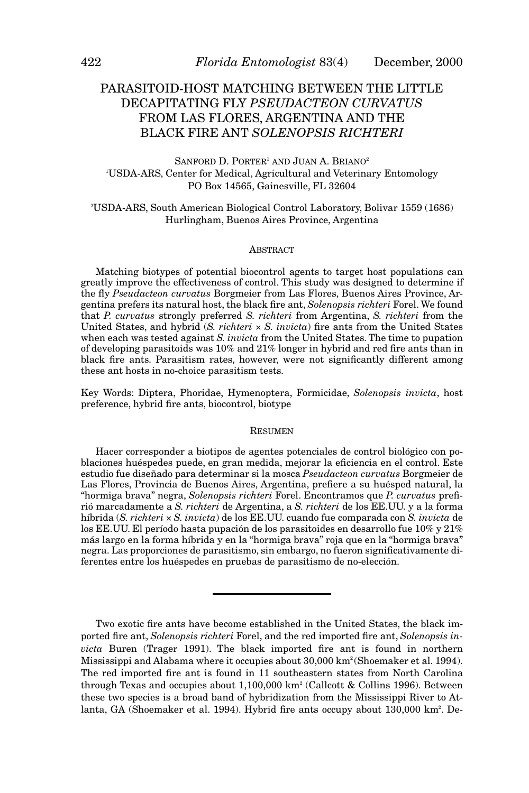# PARASITOID-HOST MATCHING BETWEEN THE LITTLE DECAPITATING FLY *PSEUDACTEON CURVATUS* FROM LAS FLORES, ARGENTINA AND THE BLACK FIRE ANT *SOLENOPSIS RICHTERI*

SANFORD D. PORTER<sup>1</sup> AND JUAN A. BRIANO<sup>2</sup> 1 USDA-ARS, Center for Medical, Agricultural and Veterinary Entomology PO Box 14565, Gainesville, FL 32604

2 USDA-ARS, South American Biological Control Laboratory, Bolivar 1559 (1686) Hurlingham, Buenos Aires Province, Argentina

# ABSTRACT

Matching biotypes of potential biocontrol agents to target host populations can greatly improve the effectiveness of control. This study was designed to determine if the fly *Pseudacteon curvatus* Borgmeier from Las Flores, Buenos Aires Province, Argentina prefers its natural host, the black fire ant, *Solenopsis richteri* Forel. We found that *P. curvatus* strongly preferred *S. richteri* from Argentina, *S. richteri* from the United States, and hybrid (*S. richteri*  $\times$  *S. invicta*) fire ants from the United States when each was tested against *S. invicta* from the United States. The time to pupation of developing parasitoids was 10% and 21% longer in hybrid and red fire ants than in black fire ants. Parasitism rates, however, were not significantly different among these ant hosts in no-choice parasitism tests.

Key Words: Diptera, Phoridae, Hymenoptera, Formicidae, *Solenopsis invicta*, host preference, hybrid fire ants, biocontrol, biotype

#### **RESUMEN**

Hacer corresponder a biotipos de agentes potenciales de control biológico con poblaciones huéspedes puede, en gran medida, mejorar la eficiencia en el control. Este estudio fue diseñado para determinar si la mosca *Pseudacteon curvatus* Borgmeier de Las Flores, Provincia de Buenos Aires, Argentina, prefiere a su huésped natural, la "hormiga brava" negra, *Solenopsis richteri* Forel. Encontramos que *P. curvatus* prefirió marcadamente a *S. richteri* de Argentina, a *S. richteri* de los EE.UU. y a la forma híbrida (*S. richteri* ´ *S. invicta*) de los EE.UU. cuando fue comparada con *S. invicta* de los EE.UU. El período hasta pupación de los parasitoides en desarrollo fue 10% y 21% más largo en la forma híbrida y en la "hormiga brava" roja que en la "hormiga brava" negra. Las proporciones de parasitismo, sin embargo, no fueron significativamente diferentes entre los huéspedes en pruebas de parasitismo de no-elección.

Two exotic fire ants have become established in the United States, the black imported fire ant, *Solenopsis richteri* Forel, and the red imported fire ant, *Solenopsis invicta* Buren (Trager 1991). The black imported fire ant is found in northern Mississippi and Alabama where it occupies about 30,000 km2 (Shoemaker et al. 1994). The red imported fire ant is found in 11 southeastern states from North Carolina through Texas and occupies about  $1,100,000$  km<sup>2</sup> (Callcott & Collins 1996). Between these two species is a broad band of hybridization from the Mississippi River to Atlanta, GA (Shoemaker et al. 1994). Hybrid fire ants occupy about 130,000 km<sup>2</sup>. De-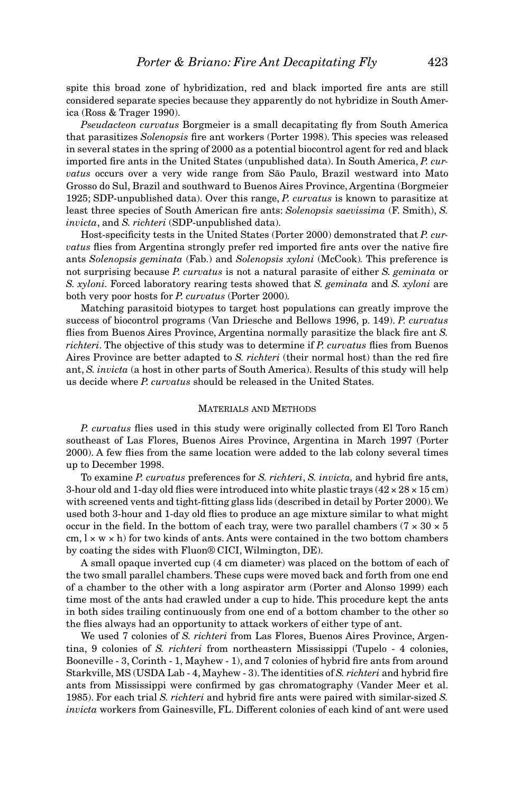spite this broad zone of hybridization, red and black imported fire ants are still considered separate species because they apparently do not hybridize in South America (Ross & Trager 1990).

*Pseudacteon curvatus* Borgmeier is a small decapitating fly from South America that parasitizes *Solenopsis* fire ant workers (Porter 1998). This species was released in several states in the spring of 2000 as a potential biocontrol agent for red and black imported fire ants in the United States (unpublished data). In South America, *P. curvatus* occurs over a very wide range from São Paulo, Brazil westward into Mato Grosso do Sul, Brazil and southward to Buenos Aires Province, Argentina (Borgmeier 1925; SDP-unpublished data). Over this range, *P. curvatus* is known to parasitize at least three species of South American fire ants: *Solenopsis saevissima* (F. Smith), *S. invicta*, and *S. richteri* (SDP-unpublished data).

Host-specificity tests in the United States (Porter 2000) demonstrated that *P. curvatus* flies from Argentina strongly prefer red imported fire ants over the native fire ants *Solenopsis geminata* (Fab.) and *Solenopsis xyloni* (McCook)*.* This preference is not surprising because *P. curvatus* is not a natural parasite of either *S. geminata* or *S. xyloni.* Forced laboratory rearing tests showed that *S. geminata* and *S. xyloni* are both very poor hosts for *P. curvatus* (Porter 2000)*.*

Matching parasitoid biotypes to target host populations can greatly improve the success of biocontrol programs (Van Driesche and Bellows 1996, p. 149). *P. curvatus* flies from Buenos Aires Province, Argentina normally parasitize the black fire ant *S. richteri*. The objective of this study was to determine if *P. curvatus* flies from Buenos Aires Province are better adapted to *S. richteri* (their normal host) than the red fire ant, *S. invicta* (a host in other parts of South America). Results of this study will help us decide where *P. curvatus* should be released in the United States.

# MATERIALS AND METHODS

*P. curvatus* flies used in this study were originally collected from El Toro Ranch southeast of Las Flores, Buenos Aires Province, Argentina in March 1997 (Porter 2000). A few flies from the same location were added to the lab colony several times up to December 1998.

To examine *P. curvatus* preferences for *S. richteri*, *S. invicta,* and hybrid fire ants, 3-hour old and 1-day old flies were introduced into white plastic trays  $(42 \times 28 \times 15 \text{ cm})$ with screened vents and tight-fitting glass lids (described in detail by Porter 2000). We used both 3-hour and 1-day old flies to produce an age mixture similar to what might occur in the field. In the bottom of each tray, were two parallel chambers ( $7 \times 30 \times 5$ ) cm,  $l \times w \times h$ ) for two kinds of ants. Ants were contained in the two bottom chambers by coating the sides with Fluon® CICI, Wilmington, DE).

A small opaque inverted cup (4 cm diameter) was placed on the bottom of each of the two small parallel chambers. These cups were moved back and forth from one end of a chamber to the other with a long aspirator arm (Porter and Alonso 1999) each time most of the ants had crawled under a cup to hide. This procedure kept the ants in both sides trailing continuously from one end of a bottom chamber to the other so the flies always had an opportunity to attack workers of either type of ant.

We used 7 colonies of *S. richteri* from Las Flores, Buenos Aires Province, Argentina, 9 colonies of *S. richteri* from northeastern Mississippi (Tupelo - 4 colonies, Booneville - 3, Corinth - 1, Mayhew - 1), and 7 colonies of hybrid fire ants from around Starkville, MS (USDA Lab - 4, Mayhew - 3). The identities of *S. richteri* and hybrid fire ants from Mississippi were confirmed by gas chromatography (Vander Meer et al. 1985). For each trial *S. richteri* and hybrid fire ants were paired with similar-sized *S. invicta* workers from Gainesville, FL. Different colonies of each kind of ant were used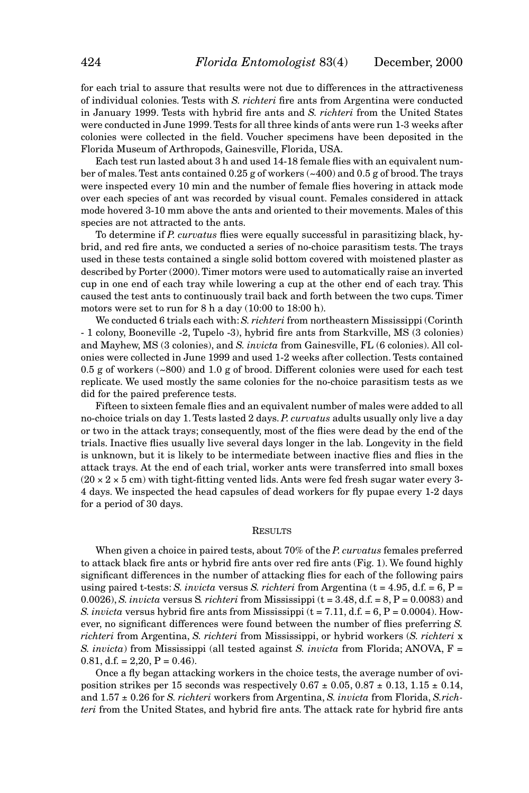for each trial to assure that results were not due to differences in the attractiveness of individual colonies. Tests with *S. richteri* fire ants from Argentina were conducted in January 1999. Tests with hybrid fire ants and *S. richteri* from the United States were conducted in June 1999. Tests for all three kinds of ants were run 1-3 weeks after colonies were collected in the field. Voucher specimens have been deposited in the Florida Museum of Arthropods, Gainesville, Florida, USA.

Each test run lasted about 3 h and used 14-18 female flies with an equivalent number of males. Test ants contained 0.25 g of workers (~400) and 0.5 g of brood. The trays were inspected every 10 min and the number of female flies hovering in attack mode over each species of ant was recorded by visual count. Females considered in attack mode hovered 3-10 mm above the ants and oriented to their movements. Males of this species are not attracted to the ants.

To determine if *P. curvatus* flies were equally successful in parasitizing black, hybrid, and red fire ants, we conducted a series of no-choice parasitism tests. The trays used in these tests contained a single solid bottom covered with moistened plaster as described by Porter (2000). Timer motors were used to automatically raise an inverted cup in one end of each tray while lowering a cup at the other end of each tray. This caused the test ants to continuously trail back and forth between the two cups. Timer motors were set to run for 8 h a day (10:00 to 18:00 h).

We conducted 6 trials each with: *S. richteri* from northeastern Mississippi (Corinth - 1 colony, Booneville -2, Tupelo -3), hybrid fire ants from Starkville, MS (3 colonies) and Mayhew, MS (3 colonies), and *S. invicta* from Gainesville, FL (6 colonies). All colonies were collected in June 1999 and used 1-2 weeks after collection. Tests contained 0.5 g of workers (~800) and 1.0 g of brood. Different colonies were used for each test replicate. We used mostly the same colonies for the no-choice parasitism tests as we did for the paired preference tests.

Fifteen to sixteen female flies and an equivalent number of males were added to all no-choice trials on day 1. Tests lasted 2 days. *P. curvatus* adults usually only live a day or two in the attack trays; consequently, most of the flies were dead by the end of the trials. Inactive flies usually live several days longer in the lab. Longevity in the field is unknown, but it is likely to be intermediate between inactive flies and flies in the attack trays. At the end of each trial, worker ants were transferred into small boxes  $(20 \times 2 \times 5$  cm) with tight-fitting vented lids. Ants were fed fresh sugar water every 3-4 days. We inspected the head capsules of dead workers for fly pupae every 1-2 days for a period of 30 days.

#### **RESULTS**

When given a choice in paired tests, about 70% of the *P. curvatus* females preferred to attack black fire ants or hybrid fire ants over red fire ants (Fig. 1). We found highly significant differences in the number of attacking flies for each of the following pairs using paired t-tests: *S. invicta* versus *S. richteri* from Argentina (t = 4.95, d.f. = 6, P = 0.0026), *S. invicta* versus *S. richteri* from Mississippi ( $t = 3.48$ ,  $d.f. = 8$ ,  $P = 0.0083$ ) and *S. invicta* versus hybrid fire ants from Mississippi  $(t = 7.11, d.f. = 6, P = 0.0004)$ . However, no significant differences were found between the number of flies preferring *S. richteri* from Argentina, *S. richteri* from Mississippi, or hybrid workers (*S. richteri* x *S. invicta*) from Mississippi (all tested against *S. invicta* from Florida; ANOVA, F = 0.81, d.f. =  $2,20$ , P = 0.46).

Once a fly began attacking workers in the choice tests, the average number of oviposition strikes per 15 seconds was respectively  $0.67 \pm 0.05$ ,  $0.87 \pm 0.13$ ,  $1.15 \pm 0.14$ , and 1.57 ± 0.26 for *S. richteri* workers from Argentina, *S. invicta* from Florida, *S.richteri* from the United States, and hybrid fire ants. The attack rate for hybrid fire ants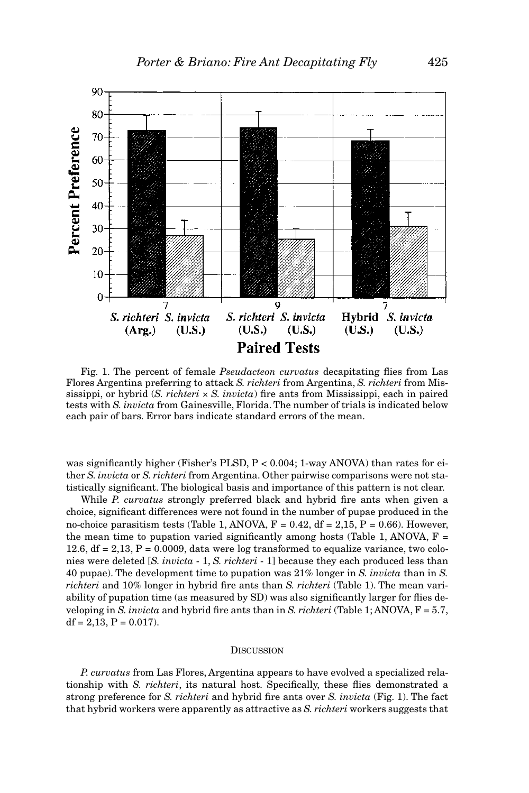

Fig. 1. The percent of female *Pseudacteon curvatus* decapitating flies from Las Flores Argentina preferring to attack *S. richteri* from Argentina, *S. richteri* from Mississippi, or hybrid  $(S. richter  $i \times S. invicta$ )$  fire ants from Mississippi, each in paired tests with *S. invicta* from Gainesville, Florida. The number of trials is indicated below each pair of bars. Error bars indicate standard errors of the mean.

was significantly higher (Fisher's PLSD, P < 0.004; 1-way ANOVA) than rates for either *S. invicta* or *S. richteri* from Argentina. Other pairwise comparisons were not statistically significant. The biological basis and importance of this pattern is not clear.

While *P. curvatus* strongly preferred black and hybrid fire ants when given a choice, significant differences were not found in the number of pupae produced in the no-choice parasitism tests (Table 1, ANOVA,  $F = 0.42$ , df = 2,15, P = 0.66). However, the mean time to pupation varied significantly among hosts (Table 1, ANOVA,  $F =$ 12.6,  $df = 2.13$ ,  $P = 0.0009$ , data were log transformed to equalize variance, two colonies were deleted [*S. invicta* - 1, *S. richteri* - 1] because they each produced less than 40 pupae). The development time to pupation was 21% longer in *S. invicta* than in *S. richteri* and 10% longer in hybrid fire ants than *S. richteri* (Table 1). The mean variability of pupation time (as measured by SD) was also significantly larger for flies developing in *S. invicta* and hybrid fire ants than in *S. richteri* (Table 1; ANOVA, F = 5.7,  $df = 2,13, P = 0.017.$ 

## **DISCUSSION**

*P. curvatus* from Las Flores, Argentina appears to have evolved a specialized relationship with *S. richteri*, its natural host. Specifically, these flies demonstrated a strong preference for *S. richteri* and hybrid fire ants over *S. invicta* (Fig. 1). The fact that hybrid workers were apparently as attractive as *S. richteri* workers suggests that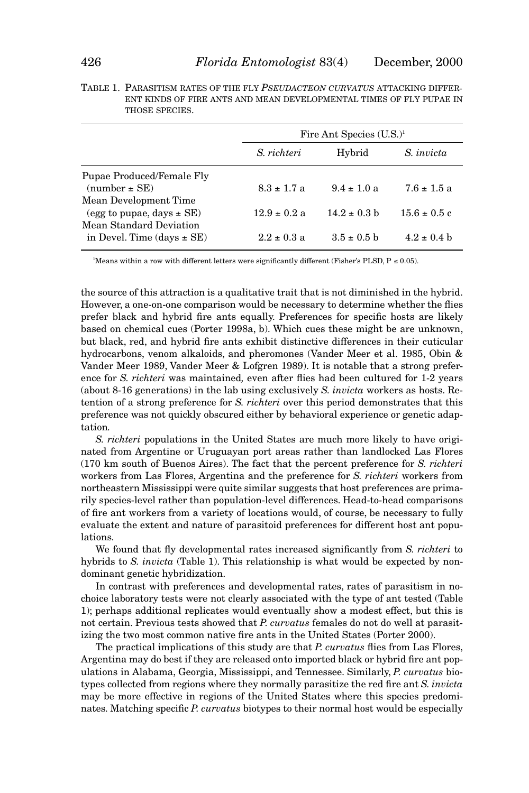|                                                        | Fire Ant Species $(U.S.)^1$ |                  |                  |
|--------------------------------------------------------|-----------------------------|------------------|------------------|
|                                                        | S. richteri                 | Hybrid           | S. invicta       |
| Pupae Produced/Female Fly<br>$(number \pm SE)$         | $8.3 \pm 1.7$ a             | $9.4 \pm 1.0$ a  | $7.6 \pm 1.5$ a  |
| Mean Development Time<br>(egg to pupae, days $\pm$ SE) | $12.9 \pm 0.2$ a            | $14.2 \pm 0.3$ b | $15.6 \pm 0.5$ c |
| Mean Standard Deviation                                |                             |                  |                  |
| in Devel. Time $\frac{days \pm SE}{}$                  | $2.2 \pm 0.3$ a             | $3.5 \pm 0.5$ b  | $4.2 \pm 0.4$ b  |

|  | TABLE 1. PARASITISM RATES OF THE FLY <i>PSEUDACTEON CURVATUS</i> ATTACKING DIFFER- |
|--|------------------------------------------------------------------------------------|
|  | ENT KINDS OF FIRE ANTS AND MEAN DEVELOPMENTAL TIMES OF FLY PUPAE IN                |
|  | THOSE SPECIES.                                                                     |

Means within a row with different letters were significantly different (Fisher's PLSD,  $P \le 0.05$ ).

the source of this attraction is a qualitative trait that is not diminished in the hybrid. However, a one-on-one comparison would be necessary to determine whether the flies prefer black and hybrid fire ants equally. Preferences for specific hosts are likely based on chemical cues (Porter 1998a, b). Which cues these might be are unknown, but black, red, and hybrid fire ants exhibit distinctive differences in their cuticular hydrocarbons, venom alkaloids, and pheromones (Vander Meer et al. 1985, Obin & Vander Meer 1989, Vander Meer & Lofgren 1989). It is notable that a strong preference for *S. richteri* was maintained*,* even after flies had been cultured for 1-2 years (about 8-16 generations) in the lab using exclusively *S. invicta* workers as hosts. Retention of a strong preference for *S. richteri* over this period demonstrates that this preference was not quickly obscured either by behavioral experience or genetic adaptation*.*

*S. richteri* populations in the United States are much more likely to have originated from Argentine or Uruguayan port areas rather than landlocked Las Flores (170 km south of Buenos Aires). The fact that the percent preference for *S. richteri* workers from Las Flores, Argentina and the preference for *S. richteri* workers from northeastern Mississippi were quite similar suggests that host preferences are primarily species-level rather than population-level differences. Head-to-head comparisons of fire ant workers from a variety of locations would, of course, be necessary to fully evaluate the extent and nature of parasitoid preferences for different host ant populations.

We found that fly developmental rates increased significantly from *S. richteri* to hybrids to *S. invicta* (Table 1). This relationship is what would be expected by nondominant genetic hybridization.

In contrast with preferences and developmental rates, rates of parasitism in nochoice laboratory tests were not clearly associated with the type of ant tested (Table 1); perhaps additional replicates would eventually show a modest effect, but this is not certain. Previous tests showed that *P. curvatus* females do not do well at parasitizing the two most common native fire ants in the United States (Porter 2000).

The practical implications of this study are that *P. curvatus* flies from Las Flores, Argentina may do best if they are released onto imported black or hybrid fire ant populations in Alabama, Georgia, Mississippi, and Tennessee. Similarly, *P. curvatus* biotypes collected from regions where they normally parasitize the red fire ant *S. invicta* may be more effective in regions of the United States where this species predominates. Matching specific *P. curvatus* biotypes to their normal host would be especially